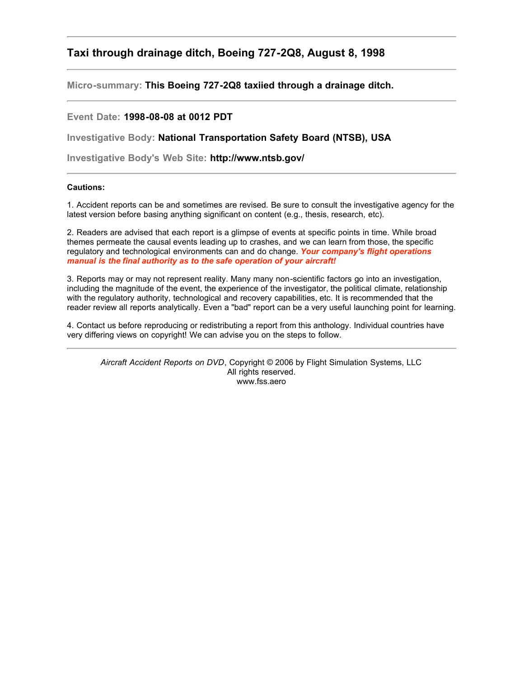# **Taxi through drainage ditch, Boeing 727-2Q8, August 8, 1998**

**Micro-summary: This Boeing 727-2Q8 taxiied through a drainage ditch.**

# **Event Date: 1998-08-08 at 0012 PDT**

**Investigative Body: National Transportation Safety Board (NTSB), USA**

**Investigative Body's Web Site: http://www.ntsb.gov/**

# **Cautions:**

1. Accident reports can be and sometimes are revised. Be sure to consult the investigative agency for the latest version before basing anything significant on content (e.g., thesis, research, etc).

2. Readers are advised that each report is a glimpse of events at specific points in time. While broad themes permeate the causal events leading up to crashes, and we can learn from those, the specific regulatory and technological environments can and do change. *Your company's flight operations manual is the final authority as to the safe operation of your aircraft!*

3. Reports may or may not represent reality. Many many non-scientific factors go into an investigation, including the magnitude of the event, the experience of the investigator, the political climate, relationship with the regulatory authority, technological and recovery capabilities, etc. It is recommended that the reader review all reports analytically. Even a "bad" report can be a very useful launching point for learning.

4. Contact us before reproducing or redistributing a report from this anthology. Individual countries have very differing views on copyright! We can advise you on the steps to follow.

*Aircraft Accident Reports on DVD*, Copyright © 2006 by Flight Simulation Systems, LLC All rights reserved. www.fss.aero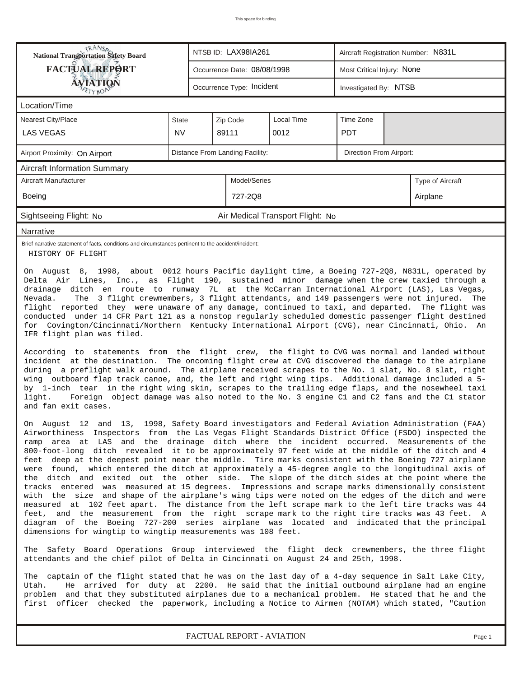| TRANSO<br>NTSB ID: LAX98IA261<br>Aircraft Registration Number: N831L<br>National Transportation Safety Board                                                                                                                                                                                                                                                                                                                                                                                                                                                                                                                                                                                                                                                                                                                                                                                                                                                                                                                                                                                                                                                                                                                                                                                                                                                                                                                                                                                                                                                                              |                                  |  |                                 |                                  |                            |  |          |  |  |
|-------------------------------------------------------------------------------------------------------------------------------------------------------------------------------------------------------------------------------------------------------------------------------------------------------------------------------------------------------------------------------------------------------------------------------------------------------------------------------------------------------------------------------------------------------------------------------------------------------------------------------------------------------------------------------------------------------------------------------------------------------------------------------------------------------------------------------------------------------------------------------------------------------------------------------------------------------------------------------------------------------------------------------------------------------------------------------------------------------------------------------------------------------------------------------------------------------------------------------------------------------------------------------------------------------------------------------------------------------------------------------------------------------------------------------------------------------------------------------------------------------------------------------------------------------------------------------------------|----------------------------------|--|---------------------------------|----------------------------------|----------------------------|--|----------|--|--|
| <b>FACTUAL REPORT</b>                                                                                                                                                                                                                                                                                                                                                                                                                                                                                                                                                                                                                                                                                                                                                                                                                                                                                                                                                                                                                                                                                                                                                                                                                                                                                                                                                                                                                                                                                                                                                                     |                                  |  | Occurrence Date: 08/08/1998     |                                  | Most Critical Injury: None |  |          |  |  |
| AVIATION                                                                                                                                                                                                                                                                                                                                                                                                                                                                                                                                                                                                                                                                                                                                                                                                                                                                                                                                                                                                                                                                                                                                                                                                                                                                                                                                                                                                                                                                                                                                                                                  |                                  |  | Occurrence Type: Incident       |                                  | Investigated By: NTSB      |  |          |  |  |
| Location/Time                                                                                                                                                                                                                                                                                                                                                                                                                                                                                                                                                                                                                                                                                                                                                                                                                                                                                                                                                                                                                                                                                                                                                                                                                                                                                                                                                                                                                                                                                                                                                                             |                                  |  |                                 |                                  |                            |  |          |  |  |
| Nearest City/Place                                                                                                                                                                                                                                                                                                                                                                                                                                                                                                                                                                                                                                                                                                                                                                                                                                                                                                                                                                                                                                                                                                                                                                                                                                                                                                                                                                                                                                                                                                                                                                        | <b>State</b>                     |  | Zip Code                        | Local Time<br>Time Zone          |                            |  |          |  |  |
| <b>LAS VEGAS</b>                                                                                                                                                                                                                                                                                                                                                                                                                                                                                                                                                                                                                                                                                                                                                                                                                                                                                                                                                                                                                                                                                                                                                                                                                                                                                                                                                                                                                                                                                                                                                                          | <b>NV</b>                        |  | 89111                           |                                  |                            |  |          |  |  |
| Airport Proximity: On Airport                                                                                                                                                                                                                                                                                                                                                                                                                                                                                                                                                                                                                                                                                                                                                                                                                                                                                                                                                                                                                                                                                                                                                                                                                                                                                                                                                                                                                                                                                                                                                             |                                  |  | Distance From Landing Facility: |                                  | Direction From Airport:    |  |          |  |  |
| <b>Aircraft Information Summary</b>                                                                                                                                                                                                                                                                                                                                                                                                                                                                                                                                                                                                                                                                                                                                                                                                                                                                                                                                                                                                                                                                                                                                                                                                                                                                                                                                                                                                                                                                                                                                                       |                                  |  |                                 |                                  |                            |  |          |  |  |
| Aircraft Manufacturer                                                                                                                                                                                                                                                                                                                                                                                                                                                                                                                                                                                                                                                                                                                                                                                                                                                                                                                                                                                                                                                                                                                                                                                                                                                                                                                                                                                                                                                                                                                                                                     | Model/Series<br>Type of Aircraft |  |                                 |                                  |                            |  |          |  |  |
| <b>Boeing</b>                                                                                                                                                                                                                                                                                                                                                                                                                                                                                                                                                                                                                                                                                                                                                                                                                                                                                                                                                                                                                                                                                                                                                                                                                                                                                                                                                                                                                                                                                                                                                                             |                                  |  | 727-2Q8                         |                                  |                            |  | Airplane |  |  |
| Sightseeing Flight: No                                                                                                                                                                                                                                                                                                                                                                                                                                                                                                                                                                                                                                                                                                                                                                                                                                                                                                                                                                                                                                                                                                                                                                                                                                                                                                                                                                                                                                                                                                                                                                    |                                  |  |                                 | Air Medical Transport Flight: No |                            |  |          |  |  |
| Narrative                                                                                                                                                                                                                                                                                                                                                                                                                                                                                                                                                                                                                                                                                                                                                                                                                                                                                                                                                                                                                                                                                                                                                                                                                                                                                                                                                                                                                                                                                                                                                                                 |                                  |  |                                 |                                  |                            |  |          |  |  |
| Brief narrative statement of facts, conditions and circumstances pertinent to the accident/incident:<br>HISTORY OF FLIGHT                                                                                                                                                                                                                                                                                                                                                                                                                                                                                                                                                                                                                                                                                                                                                                                                                                                                                                                                                                                                                                                                                                                                                                                                                                                                                                                                                                                                                                                                 |                                  |  |                                 |                                  |                            |  |          |  |  |
| flight reported they were unaware of any damage, continued to taxi, and departed. The flight was<br>conducted under 14 CFR Part 121 as a nonstop regularly scheduled domestic passenger flight destined<br>for Covington/Cincinnati/Northern Kentucky International Airport (CVG), near Cincinnati, Ohio. An<br>IFR flight plan was filed.<br>According to statements from the flight crew, the flight to CVG was normal and landed without<br>incident at the destination. The oncoming flight crew at CVG discovered the damage to the airplane<br>during a preflight walk around. The airplane received scrapes to the No. 1 slat, No. 8 slat, right<br>wing outboard flap track canoe, and, the left and right wing tips. Additional damage included a 5-<br>by 1-inch tear in the right wing skin, scrapes to the trailing edge flaps, and the nosewheel taxi<br>light.<br>Foreign object damage was also noted to the No. 3 engine C1 and C2 fans and the C1 stator<br>and fan exit cases.                                                                                                                                                                                                                                                                                                                                                                                                                                                                                                                                                                                          |                                  |  |                                 |                                  |                            |  |          |  |  |
| On August 12 and 13, 1998, Safety Board investigators and Federal Aviation Administration (FAA)<br>Airworthiness Inspectors from the Las Vegas Flight Standards District Office (FSDO) inspected the<br>ramp area at LAS and the drainage ditch where the incident occurred. Measurements of the<br>800-foot-long ditch revealed it to be approximately 97 feet wide at the middle of the ditch and 4<br>feet deep at the deepest point near the middle. Tire marks consistent with the Boeing 727 airplane<br>were found, which entered the ditch at approximately a 45-degree angle to the longitudinal axis of<br>the ditch and exited out the other side. The slope of the ditch sides at the point where the<br>tracks entered was measured at 15 degrees. Impressions and scrape marks dimensionally consistent<br>with the size and shape of the airplane's wing tips were noted on the edges of the ditch and were<br>measured at 102 feet apart. The distance from the left scrape mark to the left tire tracks was 44<br>feet, and the measurement from the right scrape mark to the right tire tracks was 43 feet. A<br>diagram of the Boeing 727-200 series airplane was located and indicated that the principal<br>dimensions for wingtip to wingtip measurements was 108 feet.<br>The Safety Board Operations Group interviewed the flight deck crewmembers, the three flight<br>attendants and the chief pilot of Delta in Cincinnati on August 24 and 25th, 1998.<br>The captain of the flight stated that he was on the last day of a 4-day sequence in Salt Lake City, |                                  |  |                                 |                                  |                            |  |          |  |  |
| He arrived for duty at 2200. He said that the initial outbound airplane had an engine<br>Utah.<br>problem and that they substituted airplanes due to a mechanical problem. He stated that he and the<br>first officer checked the paperwork, including a Notice to Airmen (NOTAM) which stated, "Caution                                                                                                                                                                                                                                                                                                                                                                                                                                                                                                                                                                                                                                                                                                                                                                                                                                                                                                                                                                                                                                                                                                                                                                                                                                                                                  |                                  |  |                                 |                                  |                            |  |          |  |  |

*FACTUAL REPORT - AVIATION Page 1*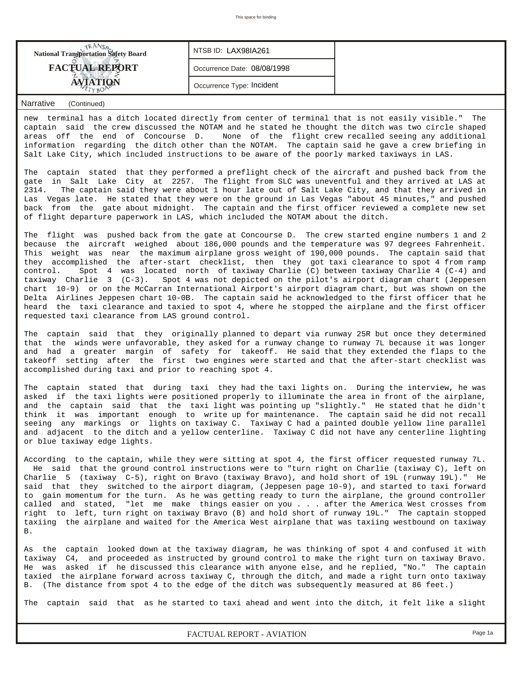| <b>FACTUAL REPORT</b><br>Occurrence Date: 08/08/1998<br>Occurrence Type: Incident | <b>National Transportation Safety Board</b> | NTSB ID: LAX98IA261 |  |
|-----------------------------------------------------------------------------------|---------------------------------------------|---------------------|--|
|                                                                                   |                                             |                     |  |
|                                                                                   |                                             |                     |  |

# *Narrative (Continued)*

new terminal has a ditch located directly from center of terminal that is not easily visible." The captain said the crew discussed the NOTAM and he stated he thought the ditch was two circle shaped areas off the end of Concourse D. None of the flight crew recalled seeing any additional information regarding the ditch other than the NOTAM. The captain said he gave a crew briefing in Salt Lake City, which included instructions to be aware of the poorly marked taxiways in LAS.

The captain stated that they performed a preflight check of the aircraft and pushed back from the gate in Salt Lake City at 2257. The flight from SLC was uneventful and they arrived at LAS at 2314. The captain said they were about 1 hour late out of Salt Lake City, and that they arrived in Las Vegas late. He stated that they were on the ground in Las Vegas "about 45 minutes," and pushed back from the gate about midnight. The captain and the first officer reviewed a complete new set of flight departure paperwork in LAS, which included the NOTAM about the ditch.

The flight was pushed back from the gate at Concourse D. The crew started engine numbers 1 and 2 because the aircraft weighed about 186,000 pounds and the temperature was 97 degrees Fahrenheit. This weight was near the maximum airplane gross weight of 190,000 pounds. The captain said that they accomplished the after-start checklist, then they got taxi clearance to spot 4 from ramp control. Spot 4 was located north of taxiway Charlie (C) between taxiway Charlie 4 (C-4) and taxiway Charlie 3 (C-3). Spot 4 was not depicted on the pilot's airport diagram chart (Jeppesen chart 10-9) or on the McCarran International Airport's airport diagram chart, but was shown on the Delta Airlines Jeppesen chart 10-0B. The captain said he acknowledged to the first officer that he heard the taxi clearance and taxied to spot 4, where he stopped the airplane and the first officer requested taxi clearance from LAS ground control.

The captain said that they originally planned to depart via runway 25R but once they determined that the winds were unfavorable, they asked for a runway change to runway 7L because it was longer and had a greater margin of safety for takeoff. He said that they extended the flaps to the takeoff setting after the first two engines were started and that the after-start checklist was accomplished during taxi and prior to reaching spot 4.

The captain stated that during taxi they had the taxi lights on. During the interview, he was asked if the taxi lights were positioned properly to illuminate the area in front of the airplane, and the captain said that the taxi light was pointing up "slightly." He stated that he didn't think it was important enough to write up for maintenance. The captain said he did not recall seeing any markings or lights on taxiway C. Taxiway C had a painted double yellow line parallel and adjacent to the ditch and a yellow centerline. Taxiway C did not have any centerline lighting or blue taxiway edge lights.

According to the captain, while they were sitting at spot 4, the first officer requested runway 7L. He said that the ground control instructions were to "turn right on Charlie (taxiway C), left on Charlie 5 (taxiway C-5), right on Bravo (taxiway Bravo), and hold short of 19L (runway 19L)." He said that they switched to the airport diagram, (Jeppesen page 10-9), and started to taxi forward to gain momentum for the turn. As he was getting ready to turn the airplane, the ground controller called and stated, "let me make things easier on you . . . after the America West crosses from right to left, turn right on taxiway Bravo (B) and hold short of runway 19L." The captain stopped taxiing the airplane and waited for the America West airplane that was taxiing westbound on taxiway B.

As the captain looked down at the taxiway diagram, he was thinking of spot 4 and confused it with taxiway C4, and proceeded as instructed by ground control to make the right turn on taxiway Bravo. He was asked if he discussed this clearance with anyone else, and he replied, "No." The captain taxied the airplane forward across taxiway C, through the ditch, and made a right turn onto taxiway B. (The distance from spot 4 to the edge of the ditch was subsequently measured at 86 feet.)

The captain said that as he started to taxi ahead and went into the ditch, it felt like a slight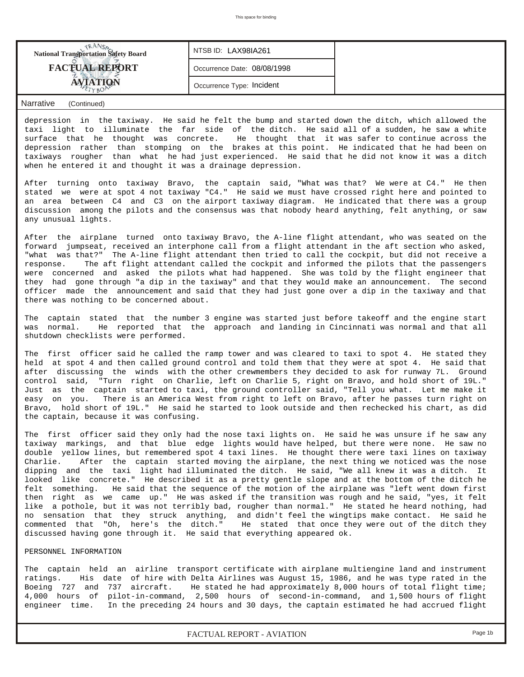| <b>National Transportation Safety Board</b> | NTSB ID: LAX98IA261         |  |
|---------------------------------------------|-----------------------------|--|
| <b>FACTUAL REPORT</b>                       | Occurrence Date: 08/08/1998 |  |
|                                             | Occurrence Type: Incident   |  |
|                                             |                             |  |

# *Narrative (Continued)*

depression in the taxiway. He said he felt the bump and started down the ditch, which allowed the taxi light to illuminate the far side of the ditch. He said all of a sudden, he saw a white surface that he thought was concrete. He thought that it was safer to continue across the depression rather than stomping on the brakes at this point. He indicated that he had been on taxiways rougher than what he had just experienced. He said that he did not know it was a ditch when he entered it and thought it was a drainage depression.

After turning onto taxiway Bravo, the captain said, "What was that? We were at C4." He then stated we were at spot 4 not taxiway "C4." He said we must have crossed right here and pointed to an area between C4 and C3 on the airport taxiway diagram. He indicated that there was a group discussion among the pilots and the consensus was that nobody heard anything, felt anything, or saw any unusual lights.

After the airplane turned onto taxiway Bravo, the A-line flight attendant, who was seated on the forward jumpseat, received an interphone call from a flight attendant in the aft section who asked, "what was that?" The A-line flight attendant then tried to call the cockpit, but did not receive a response. The aft flight attendant called the cockpit and informed the pilots that the passengers were concerned and asked the pilots what had happened. She was told by the flight engineer that they had gone through "a dip in the taxiway" and that they would make an announcement. The second officer made the announcement and said that they had just gone over a dip in the taxiway and that there was nothing to be concerned about.

The captain stated that the number 3 engine was started just before takeoff and the engine start was normal. He reported that the approach and landing in Cincinnati was normal and that all shutdown checklists were performed.

The first officer said he called the ramp tower and was cleared to taxi to spot 4. He stated they held at spot 4 and then called ground control and told them that they were at spot 4. He said that after discussing the winds with the other crewmembers they decided to ask for runway 7L. Ground control said, "Turn right on Charlie, left on Charlie 5, right on Bravo, and hold short of 19L." Just as the captain started to taxi, the ground controller said, "Tell you what. Let me make it easy on you. There is an America West from right to left on Bravo, after he passes turn right on Bravo, hold short of 19L." He said he started to look outside and then rechecked his chart, as did the captain, because it was confusing.

The first officer said they only had the nose taxi lights on. He said he was unsure if he saw any taxiway markings, and that blue edge lights would have helped, but there were none. He saw no double yellow lines, but remembered spot 4 taxi lines. He thought there were taxi lines on taxiway Charlie. After the captain started moving the airplane, the next thing we noticed was the nose dipping and the taxi light had illuminated the ditch. He said, "We all knew it was a ditch. It looked like concrete." He described it as a pretty gentle slope and at the bottom of the ditch he felt something. He said that the sequence of the motion of the airplane was "left went down first then right as we came up." He was asked if the transition was rough and he said, "yes, it felt like a pothole, but it was not terribly bad, rougher than normal." He stated he heard nothing, had no sensation that they struck anything, and didn't feel the wingtips make contact. He said he commented that "Oh, here's the ditch." He stated that once they were out of the ditch they discussed having gone through it. He said that everything appeared ok.

## PERSONNEL INFORMATION

The captain held an airline transport certificate with airplane multiengine land and instrument ratings. His date of hire with Delta Airlines was August 15, 1986, and he was type rated in the Boeing 727 and 737 aircraft. He stated he had approximately 8,000 hours of total flight time; 4,000 hours of pilot-in-command, 2,500 hours of second-in-command, and 1,500 hours of flight engineer time. In the preceding 24 hours and 30 days, the captain estimated he had accrued flight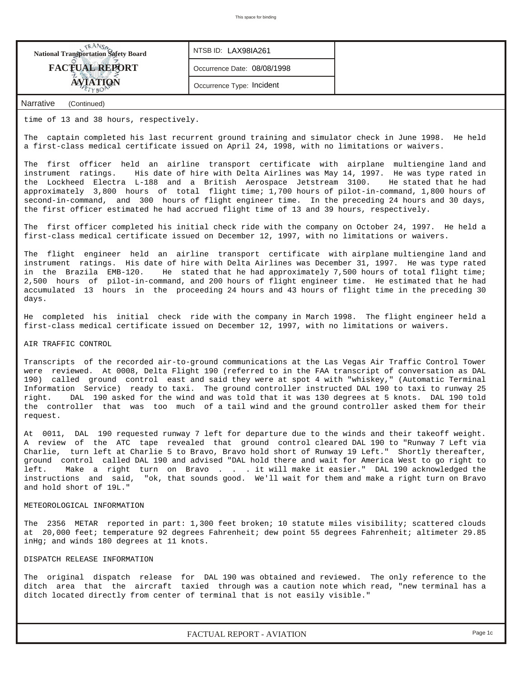| <b>National Transportation Safety Board</b> | NTSB ID: LAX98IA261         |  |
|---------------------------------------------|-----------------------------|--|
| <b>FACTUAL REPORT</b>                       | Occurrence Date: 08/08/1998 |  |
| <b>AVIATION</b>                             | Occurrence Type: Incident   |  |
| Narrative<br>(Continued)                    |                             |  |

time of 13 and 38 hours, respectively.

The captain completed his last recurrent ground training and simulator check in June 1998. He held a first-class medical certificate issued on April 24, 1998, with no limitations or waivers.

The first officer held an airline transport certificate with airplane multiengine land and instrument ratings. His date of hire with Delta Airlines was May 14, 1997. He was type rated in the Lockheed Electra L-188 and a British Aerospace Jetstream 3100. He stated that he had approximately 3,800 hours of total flight time; 1,700 hours of pilot-in-command, 1,800 hours of second-in-command, and 300 hours of flight engineer time. In the preceding 24 hours and 30 days, the first officer estimated he had accrued flight time of 13 and 39 hours, respectively.

The first officer completed his initial check ride with the company on October 24, 1997. He held a first-class medical certificate issued on December 12, 1997, with no limitations or waivers.

The flight engineer held an airline transport certificate with airplane multiengine land and instrument ratings. His date of hire with Delta Airlines was December 31, 1997. He was type rated in the Brazila EMB-120. He stated that he had approximately 7,500 hours of total flight time; 2,500 hours of pilot-in-command, and 200 hours of flight engineer time. He estimated that he had accumulated 13 hours in the proceeding 24 hours and 43 hours of flight time in the preceding 30 days.

He completed his initial check ride with the company in March 1998. The flight engineer held a first-class medical certificate issued on December 12, 1997, with no limitations or waivers.

#### AIR TRAFFIC CONTROL

Transcripts of the recorded air-to-ground communications at the Las Vegas Air Traffic Control Tower were reviewed. At 0008, Delta Flight 190 (referred to in the FAA transcript of conversation as DAL 190) called ground control east and said they were at spot 4 with "whiskey," (Automatic Terminal Information Service) ready to taxi. The ground controller instructed DAL 190 to taxi to runway 25 right. DAL 190 asked for the wind and was told that it was 130 degrees at 5 knots. DAL 190 told the controller that was too much of a tail wind and the ground controller asked them for their request.

At 0011, DAL 190 requested runway 7 left for departure due to the winds and their takeoff weight. A review of the ATC tape revealed that ground control cleared DAL 190 to "Runway 7 Left via Charlie, turn left at Charlie 5 to Bravo, Bravo hold short of Runway 19 Left." Shortly thereafter, ground control called DAL 190 and advised "DAL hold there and wait for America West to go right to left. Make a right turn on Bravo . . . it will make it easier." DAL 190 acknowledged the instructions and said, "ok, that sounds good. We'll wait for them and make a right turn on Bravo and hold short of 19L."

#### METEOROLOGICAL INFORMATION

The 2356 METAR reported in part: 1,300 feet broken; 10 statute miles visibility; scattered clouds at 20,000 feet; temperature 92 degrees Fahrenheit; dew point 55 degrees Fahrenheit; altimeter 29.85 inHg; and winds 180 degrees at 11 knots.

#### DISPATCH RELEASE INFORMATION

The original dispatch release for DAL 190 was obtained and reviewed. The only reference to the ditch area that the aircraft taxied through was a caution note which read, "new terminal has a ditch located directly from center of terminal that is not easily visible."

*FACTUAL REPORT - AVIATION Page 1c*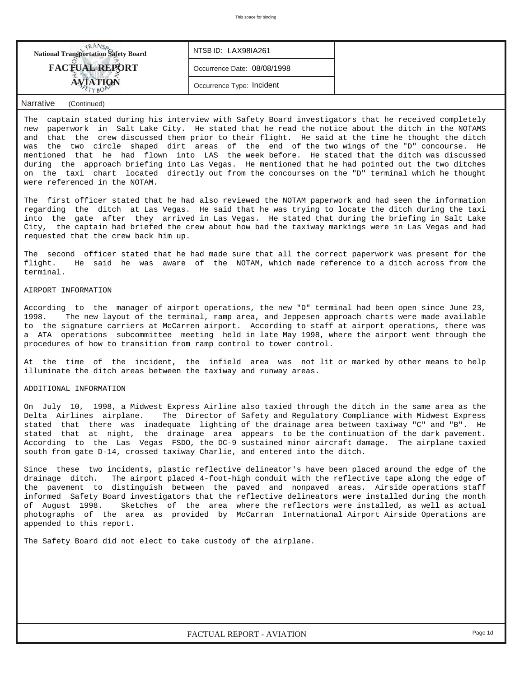| <b>National Transportation Safety Board</b> | NTSB ID: LAX98IA261         |  |
|---------------------------------------------|-----------------------------|--|
| <b>FACTUAL REPORT</b>                       | Occurrence Date: 08/08/1998 |  |
|                                             | Occurrence Type: Incident   |  |
|                                             |                             |  |

### *Narrative (Continued)*

The captain stated during his interview with Safety Board investigators that he received completely new paperwork in Salt Lake City. He stated that he read the notice about the ditch in the NOTAMS and that the crew discussed them prior to their flight. He said at the time he thought the ditch was the two circle shaped dirt areas of the end of the two wings of the "D" concourse. He mentioned that he had flown into LAS the week before. He stated that the ditch was discussed during the approach briefing into Las Vegas. He mentioned that he had pointed out the two ditches on the taxi chart located directly out from the concourses on the "D" terminal which he thought were referenced in the NOTAM.

The first officer stated that he had also reviewed the NOTAM paperwork and had seen the information regarding the ditch at Las Vegas. He said that he was trying to locate the ditch during the taxi into the gate after they arrived in Las Vegas. He stated that during the briefing in Salt Lake City, the captain had briefed the crew about how bad the taxiway markings were in Las Vegas and had requested that the crew back him up.

The second officer stated that he had made sure that all the correct paperwork was present for the flight. He said he was aware of the NOTAM, which made reference to a ditch across from the terminal.

#### AIRPORT INFORMATION

According to the manager of airport operations, the new "D" terminal had been open since June 23, 1998. The new layout of the terminal, ramp area, and Jeppesen approach charts were made available to the signature carriers at McCarren airport. According to staff at airport operations, there was a ATA operations subcommittee meeting held in late May 1998, where the airport went through the procedures of how to transition from ramp control to tower control.

At the time of the incident, the infield area was not lit or marked by other means to help illuminate the ditch areas between the taxiway and runway areas.

#### ADDITIONAL INFORMATION

On July 10, 1998, a Midwest Express Airline also taxied through the ditch in the same area as the Delta Airlines airplane. The Director of Safety and Regulatory Compliance with Midwest Express stated that there was inadequate lighting of the drainage area between taxiway "C" and "B". He stated that at night, the drainage area appears to be the continuation of the dark pavement. According to the Las Vegas FSDO, the DC-9 sustained minor aircraft damage. The airplane taxied south from gate D-14, crossed taxiway Charlie, and entered into the ditch.

Since these two incidents, plastic reflective delineator's have been placed around the edge of the drainage ditch. The airport placed 4-foot-high conduit with the reflective tape along the edge of the pavement to distinguish between the paved and nonpaved areas. Airside operations staff informed Safety Board investigators that the reflective delineators were installed during the month of August 1998. Sketches of the area where the reflectors were installed, as well as actual photographs of the area as provided by McCarran International Airport Airside Operations are appended to this report.

The Safety Board did not elect to take custody of the airplane.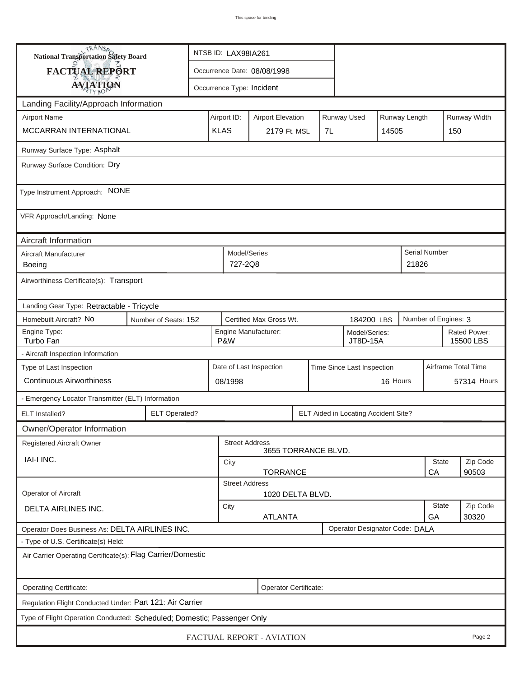| <b>National Transportation Safety Board</b>                                      |                                                          |                                                              | NTSB ID: LAX98IA261                                                     |                             |  |  |                    |                           |          |                      |              |
|----------------------------------------------------------------------------------|----------------------------------------------------------|--------------------------------------------------------------|-------------------------------------------------------------------------|-----------------------------|--|--|--------------------|---------------------------|----------|----------------------|--------------|
| <b>FACTUAL REPORT</b>                                                            |                                                          |                                                              |                                                                         | Occurrence Date: 08/08/1998 |  |  |                    |                           |          |                      |              |
| <b>AVIATION</b>                                                                  |                                                          |                                                              | Occurrence Type: Incident                                               |                             |  |  |                    |                           |          |                      |              |
| Landing Facility/Approach Information                                            |                                                          |                                                              |                                                                         |                             |  |  |                    |                           |          |                      |              |
| <b>Airport Name</b>                                                              |                                                          |                                                              | Runway Used<br>Airport ID:<br>Runway Length<br><b>Airport Elevation</b> |                             |  |  |                    |                           |          |                      | Runway Width |
| MCCARRAN INTERNATIONAL                                                           |                                                          |                                                              | <b>KLAS</b>                                                             | 2179 Ft. MSL<br>7L<br>14505 |  |  |                    |                           |          |                      | 150          |
| Runway Surface Type: Asphalt                                                     |                                                          |                                                              |                                                                         |                             |  |  |                    |                           |          |                      |              |
| Runway Surface Condition: Dry                                                    |                                                          |                                                              |                                                                         |                             |  |  |                    |                           |          |                      |              |
| Type Instrument Approach: NONE                                                   |                                                          |                                                              |                                                                         |                             |  |  |                    |                           |          |                      |              |
| VFR Approach/Landing: None                                                       |                                                          |                                                              |                                                                         |                             |  |  |                    |                           |          |                      |              |
| Aircraft Information                                                             |                                                          |                                                              |                                                                         |                             |  |  |                    |                           |          |                      |              |
| Aircraft Manufacturer<br><b>Boeing</b>                                           |                                                          |                                                              | Model/Series<br>727-2Q8                                                 |                             |  |  |                    |                           | 21826    | <b>Serial Number</b> |              |
| Airworthiness Certificate(s): Transport                                          |                                                          |                                                              |                                                                         |                             |  |  |                    |                           |          |                      |              |
| Landing Gear Type: Retractable - Tricycle                                        |                                                          |                                                              |                                                                         |                             |  |  |                    |                           |          |                      |              |
| Homebuilt Aircraft? No                                                           | Certified Max Gross Wt.<br>Number of Seats: 152          |                                                              |                                                                         |                             |  |  |                    | 184200 LBS                |          | Number of Engines: 3 |              |
| Engine Type:<br>Turbo Fan                                                        | Engine Manufacturer:<br>Model/Series:<br>P&W<br>JT8D-15A |                                                              |                                                                         |                             |  |  |                    | Rated Power:<br>15500 LBS |          |                      |              |
| - Aircraft Inspection Information                                                |                                                          |                                                              |                                                                         |                             |  |  |                    |                           |          |                      |              |
| Type of Last Inspection                                                          |                                                          |                                                              | Date of Last Inspection<br>Time Since Last Inspection                   |                             |  |  |                    |                           |          | Airframe Total Time  |              |
| <b>Continuous Airworthiness</b>                                                  |                                                          |                                                              | 08/1998                                                                 |                             |  |  | 16 Hours           |                           |          | 57314 Hours          |              |
| - Emergency Locator Transmitter (ELT) Information                                |                                                          |                                                              |                                                                         |                             |  |  |                    |                           |          |                      |              |
| ELT Installed?                                                                   |                                                          | <b>ELT Operated?</b><br>ELT Aided in Locating Accident Site? |                                                                         |                             |  |  |                    |                           |          |                      |              |
| Owner/Operator Information                                                       |                                                          |                                                              |                                                                         |                             |  |  |                    |                           |          |                      |              |
| Registered Aircraft Owner                                                        |                                                          |                                                              | <b>Street Address</b>                                                   | 3655 TORRANCE BLVD.         |  |  |                    |                           |          |                      |              |
| <b>IAI-I INC.</b>                                                                | City                                                     |                                                              |                                                                         |                             |  |  |                    | <b>State</b>              | Zip Code |                      |              |
|                                                                                  | <b>TORRANCE</b><br>CA<br>90503<br><b>Street Address</b>  |                                                              |                                                                         |                             |  |  |                    |                           |          |                      |              |
| Operator of Aircraft                                                             |                                                          |                                                              |                                                                         | 1020 DELTA BLVD.            |  |  |                    |                           |          |                      |              |
| <b>DELTA AIRLINES INC.</b>                                                       | City<br><b>ATLANTA</b>                                   |                                                              |                                                                         |                             |  |  | <b>State</b><br>GA | Zip Code<br>30320         |          |                      |              |
| Operator Designator Code: DALA<br>Operator Does Business As: DELTA AIRLINES INC. |                                                          |                                                              |                                                                         |                             |  |  |                    |                           |          |                      |              |
| - Type of U.S. Certificate(s) Held:                                              |                                                          |                                                              |                                                                         |                             |  |  |                    |                           |          |                      |              |
| Air Carrier Operating Certificate(s): Flag Carrier/Domestic                      |                                                          |                                                              |                                                                         |                             |  |  |                    |                           |          |                      |              |
| Operating Certificate:<br>Operator Certificate:                                  |                                                          |                                                              |                                                                         |                             |  |  |                    |                           |          |                      |              |
| Regulation Flight Conducted Under: Part 121: Air Carrier                         |                                                          |                                                              |                                                                         |                             |  |  |                    |                           |          |                      |              |
| Type of Flight Operation Conducted: Scheduled; Domestic; Passenger Only          |                                                          |                                                              |                                                                         |                             |  |  |                    |                           |          |                      |              |
|                                                                                  |                                                          |                                                              |                                                                         | FACTUAL REPORT - AVIATION   |  |  |                    |                           |          |                      | Page 2       |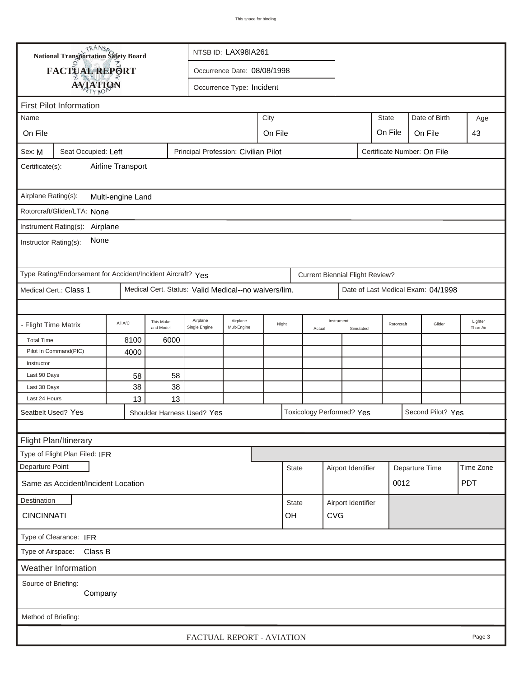| <b>National Transportation Safety Board</b><br>NTSB ID: LAX98IA261 |                                                             |         |                        |                                                      |                             |                  |                               |        |                                        |           |                             |  |                                    |                     |
|--------------------------------------------------------------------|-------------------------------------------------------------|---------|------------------------|------------------------------------------------------|-----------------------------|------------------|-------------------------------|--------|----------------------------------------|-----------|-----------------------------|--|------------------------------------|---------------------|
|                                                                    | <b>FACTUAL REPORT</b>                                       |         |                        |                                                      | Occurrence Date: 08/08/1998 |                  |                               |        |                                        |           |                             |  |                                    |                     |
|                                                                    |                                                             |         |                        |                                                      |                             |                  |                               |        |                                        |           |                             |  |                                    |                     |
|                                                                    | <b>AVIATION</b>                                             |         |                        |                                                      | Occurrence Type: Incident   |                  |                               |        |                                        |           |                             |  |                                    |                     |
|                                                                    | <b>First Pilot Information</b>                              |         |                        |                                                      |                             |                  |                               |        |                                        |           |                             |  |                                    |                     |
| Name                                                               |                                                             |         |                        |                                                      |                             | City             | <b>State</b><br>Date of Birth |        |                                        |           |                             |  |                                    | Age                 |
| On File                                                            |                                                             |         |                        |                                                      |                             | On File          |                               |        |                                        |           | On File                     |  | On File                            | 43                  |
| Sex: M                                                             | Seat Occupied: Left                                         |         |                        | Principal Profession: Civilian Pilot                 |                             |                  |                               |        |                                        |           | Certificate Number: On File |  |                                    |                     |
| Airline Transport<br>Certificate(s):                               |                                                             |         |                        |                                                      |                             |                  |                               |        |                                        |           |                             |  |                                    |                     |
| Airplane Rating(s):<br>Multi-engine Land                           |                                                             |         |                        |                                                      |                             |                  |                               |        |                                        |           |                             |  |                                    |                     |
| Rotorcraft/Glider/LTA: None                                        |                                                             |         |                        |                                                      |                             |                  |                               |        |                                        |           |                             |  |                                    |                     |
| Instrument Rating(s): Airplane                                     |                                                             |         |                        |                                                      |                             |                  |                               |        |                                        |           |                             |  |                                    |                     |
| None<br>Instructor Rating(s):                                      |                                                             |         |                        |                                                      |                             |                  |                               |        |                                        |           |                             |  |                                    |                     |
|                                                                    | Type Rating/Endorsement for Accident/Incident Aircraft? Yes |         |                        |                                                      |                             |                  |                               |        | <b>Current Biennial Flight Review?</b> |           |                             |  |                                    |                     |
|                                                                    | Medical Cert.: Class 1                                      |         |                        | Medical Cert. Status: Valid Medical--no waivers/lim. |                             |                  |                               |        |                                        |           |                             |  | Date of Last Medical Exam: 04/1998 |                     |
|                                                                    |                                                             |         |                        |                                                      |                             |                  |                               |        |                                        |           |                             |  |                                    |                     |
|                                                                    | <b>Flight Time Matrix</b>                                   | All A/C | This Make<br>and Model | Airplane<br>Single Engine                            | Airplane<br>Mult-Engine     | Night            |                               | Actual | Instrument                             | Simulated | Rotorcraft                  |  | Glider                             | Lighter<br>Than Air |
| <b>Total Time</b>                                                  |                                                             | 8100    | 6000                   |                                                      |                             |                  |                               |        |                                        |           |                             |  |                                    |                     |
|                                                                    | Pilot In Command(PIC)                                       | 4000    |                        |                                                      |                             |                  |                               |        |                                        |           |                             |  |                                    |                     |
| Instructor                                                         |                                                             |         |                        |                                                      |                             |                  |                               |        |                                        |           |                             |  |                                    |                     |
| Last 90 Days                                                       |                                                             | 58      | 58                     |                                                      |                             |                  |                               |        |                                        |           |                             |  |                                    |                     |
| Last 30 Days                                                       |                                                             | 38      | 38                     |                                                      |                             |                  |                               |        |                                        |           |                             |  |                                    |                     |
| Last 24 Hours                                                      |                                                             | 13      | 13                     |                                                      |                             |                  |                               |        |                                        |           |                             |  |                                    |                     |
| Seatbelt Used? Yes<br>Shoulder Harness Used? Yes                   |                                                             |         |                        |                                                      |                             |                  |                               |        | Toxicology Performed? Yes              |           |                             |  | Second Pilot? Yes                  |                     |
|                                                                    |                                                             |         |                        |                                                      |                             |                  |                               |        |                                        |           |                             |  |                                    |                     |
|                                                                    | Flight Plan/Itinerary                                       |         |                        |                                                      |                             |                  |                               |        |                                        |           |                             |  |                                    |                     |
|                                                                    | Type of Flight Plan Filed: IFR                              |         |                        |                                                      |                             |                  |                               |        |                                        |           |                             |  |                                    |                     |
| Departure Point                                                    |                                                             |         |                        |                                                      |                             |                  | <b>State</b>                  |        | Airport Identifier                     |           |                             |  | Departure Time                     | Time Zone           |
| Same as Accident/Incident Location                                 |                                                             |         |                        |                                                      |                             |                  |                               |        |                                        |           | 0012                        |  | <b>PDT</b>                         |                     |
| Destination                                                        |                                                             |         |                        |                                                      |                             |                  | State                         |        | Airport Identifier                     |           |                             |  |                                    |                     |
| <b>CINCINNATI</b>                                                  |                                                             |         |                        |                                                      |                             | <b>CVG</b><br>OH |                               |        |                                        |           |                             |  |                                    |                     |
| Type of Clearance: IFR                                             |                                                             |         |                        |                                                      |                             |                  |                               |        |                                        |           |                             |  |                                    |                     |
| Type of Airspace:                                                  | Class B                                                     |         |                        |                                                      |                             |                  |                               |        |                                        |           |                             |  |                                    |                     |
|                                                                    | Weather Information                                         |         |                        |                                                      |                             |                  |                               |        |                                        |           |                             |  |                                    |                     |
| Source of Briefing:                                                | Company                                                     |         |                        |                                                      |                             |                  |                               |        |                                        |           |                             |  |                                    |                     |
| Method of Briefing:                                                |                                                             |         |                        |                                                      |                             |                  |                               |        |                                        |           |                             |  |                                    |                     |
|                                                                    |                                                             |         |                        | FACTUAL REPORT - AVIATION                            |                             |                  |                               |        |                                        |           |                             |  |                                    | Page 3              |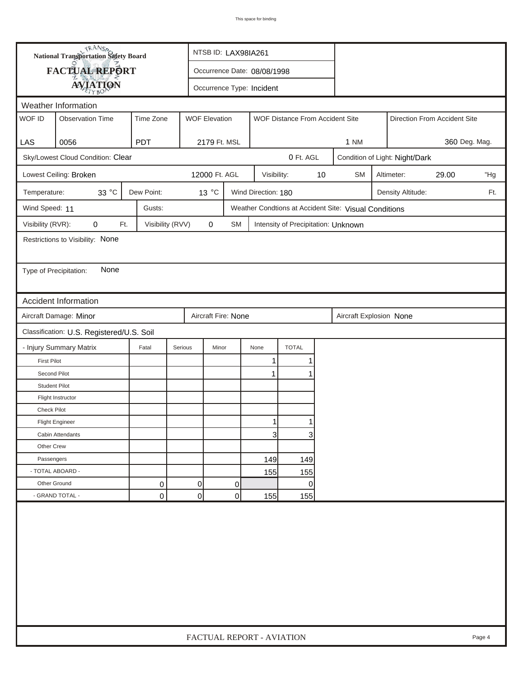|                                                                          | <b>National Transportation Safety Board</b> |                  |                | NTSB ID: LAX98IA261         |                           |                                                       |      |           |  |                                |               |        |  |
|--------------------------------------------------------------------------|---------------------------------------------|------------------|----------------|-----------------------------|---------------------------|-------------------------------------------------------|------|-----------|--|--------------------------------|---------------|--------|--|
|                                                                          | FACTUAL REPORT                              |                  |                | Occurrence Date: 08/08/1998 |                           |                                                       |      |           |  |                                |               |        |  |
|                                                                          | <b>AVIATION</b>                             |                  |                | Occurrence Type: Incident   |                           |                                                       |      |           |  |                                |               |        |  |
|                                                                          |                                             |                  |                |                             |                           |                                                       |      |           |  |                                |               |        |  |
| WOF ID                                                                   | Weather Information                         |                  |                |                             |                           |                                                       |      |           |  |                                |               |        |  |
|                                                                          | <b>Observation Time</b>                     | Time Zone        |                | <b>WOF Elevation</b>        |                           | WOF Distance From Accident Site                       |      |           |  | Direction From Accident Site   |               |        |  |
| LAS                                                                      | 0056                                        | <b>PDT</b>       |                | 2179 Ft. MSL                |                           |                                                       |      | 1 NM      |  |                                | 360 Deg. Mag. |        |  |
|                                                                          | Sky/Lowest Cloud Condition: Clear           |                  |                |                             |                           | 0 Ft. AGL                                             |      |           |  | Condition of Light: Night/Dark |               |        |  |
|                                                                          | Lowest Ceiling: Broken                      |                  |                | 12000 Ft. AGL               | Visibility:               |                                                       | $10$ | <b>SM</b> |  | Altimeter:                     | 29.00         | "Hg    |  |
| Temperature:                                                             | 33 °C                                       | Dew Point:       |                | 13 °C                       | Wind Direction: 180       |                                                       |      |           |  | Density Altitude:              |               | Ft.    |  |
| Wind Speed: 11                                                           |                                             | Gusts:           |                |                             |                           | Weather Condtions at Accident Site: Visual Conditions |      |           |  |                                |               |        |  |
| Visibility (RVR):                                                        | 0<br>Ft.                                    | Visibility (RVV) |                | $\pmb{0}$<br><b>SM</b>      |                           | Intensity of Precipitation: Unknown                   |      |           |  |                                |               |        |  |
|                                                                          | Restrictions to Visibility: None            |                  |                |                             |                           |                                                       |      |           |  |                                |               |        |  |
|                                                                          |                                             |                  |                |                             |                           |                                                       |      |           |  |                                |               |        |  |
|                                                                          | None<br>Type of Precipitation:              |                  |                |                             |                           |                                                       |      |           |  |                                |               |        |  |
|                                                                          |                                             |                  |                |                             |                           |                                                       |      |           |  |                                |               |        |  |
|                                                                          | <b>Accident Information</b>                 |                  |                |                             |                           |                                                       |      |           |  |                                |               |        |  |
|                                                                          |                                             |                  |                |                             |                           |                                                       |      |           |  |                                |               |        |  |
| Aircraft Damage: Minor<br>Aircraft Fire: None<br>Aircraft Explosion None |                                             |                  |                |                             |                           |                                                       |      |           |  |                                |               |        |  |
|                                                                          | Classification: U.S. Registered/U.S. Soil   |                  |                |                             |                           |                                                       |      |           |  |                                |               |        |  |
|                                                                          | - Injury Summary Matrix                     | Fatal            | Serious        | Minor                       | None                      | <b>TOTAL</b>                                          |      |           |  |                                |               |        |  |
| <b>First Pilot</b><br>Second Pilot                                       |                                             |                  |                |                             | 1                         |                                                       |      |           |  |                                |               |        |  |
| <b>Student Pilot</b>                                                     |                                             |                  |                |                             | 1                         |                                                       |      |           |  |                                |               |        |  |
|                                                                          | Flight Instructor                           |                  |                |                             |                           |                                                       |      |           |  |                                |               |        |  |
| <b>Check Pilot</b>                                                       |                                             |                  |                |                             |                           |                                                       |      |           |  |                                |               |        |  |
|                                                                          | <b>Flight Engineer</b>                      |                  |                |                             |                           |                                                       |      |           |  |                                |               |        |  |
|                                                                          | Cabin Attendants                            |                  |                |                             |                           |                                                       |      |           |  |                                |               |        |  |
| Other Crew                                                               |                                             |                  |                |                             | $\overline{3}$            | 3                                                     |      |           |  |                                |               |        |  |
| Passengers                                                               |                                             |                  |                |                             | 149                       | 149                                                   |      |           |  |                                |               |        |  |
|                                                                          | - TOTAL ABOARD -                            |                  |                |                             | 155                       | 155                                                   |      |           |  |                                |               |        |  |
| Other Ground                                                             |                                             | 0                | 0              | 0                           |                           | 0                                                     |      |           |  |                                |               |        |  |
|                                                                          | - GRAND TOTAL -                             | $\mathbf 0$      | $\overline{0}$ | $\mathbf 0$<br>155<br>155   |                           |                                                       |      |           |  |                                |               |        |  |
|                                                                          |                                             |                  |                |                             |                           |                                                       |      |           |  |                                |               |        |  |
|                                                                          |                                             |                  |                |                             | FACTUAL REPORT - AVIATION |                                                       |      |           |  |                                |               | Page 4 |  |